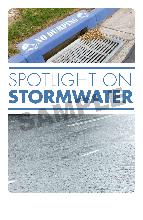

# SPOTLIGHT ON STORMWATER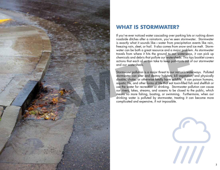

# **WHAT IS STORMWATER?**

If you've ever noticed water cascading over parking lots or rushing down roadside ditches after a rainstorm, you've seen stormwater. Stormwater is exactly what it sounds like—water from precipitation events like rain, freezing rain, sleet, or hail. It also comes from snow and ice melt. Storm water can be both a great resource and a major problem. As stormwater travels from where it hits the ground to our waterways, it can pick up chemicals and debris that pollute our watersheds. This tips booklet covers actions that each of us can take to keep pollutants out of our stormwater and our watersheds.

Stormwater pollution is a major threat to our nation's waterways. Polluted stormwater can alter and destroy habitats; kill vegetation; and physically disable, choke, or otherwise fatally harm wildlife. It can poison humans, aquatic life, and other forms of life that eat toxin-filled fish and shellfish or use the water for recreation or drinking. Stormwater pollution can cause our rivers, lakes, streams, and oceans to be closed to the public, which means no more fishing, boating, or swimming. Furthermore, when our drinking water is polluted by stormwater, treating it can become more complicated and expensive, if not impossible.

 $\prime\prime\prime$ 

3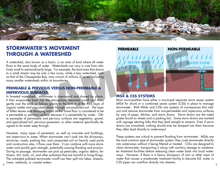

# **STORMWATER'S MOVEMENT THROUGH A WATERSHED**

A watershed, also known as a basin, is an area of land where all water flows to the same body of water. Watersheds can vary in size from relatively small to extraordinarily large. For example, the land area that drains to a small stream may be only a few acres, while a bay watershed, such as that of the Chesapeake Bay, may consist of millions of acres, including many smaller watersheds within its boundaries.

#### **PERMEABLE & PERVIOUS VERSUS NON-PERMEABLE & IMPERVIOUS SURFACES**

In forested watersheds, stormwater is intercepted and slowed by plants. It then evaporates back into the atmosphere, becomes runoff and flows gently over the land, or follows gravity to the bottom of the thick layer of organic matter and percolates down through uncompacted soil. The layer of fallen leaves and decaying wood on the forest floor is considered to be a permeable or pervious surface because it is penetrable by water. Other examples of permeable and pervious surfaces are vegetation, gravel, and specialized turf, pervious pavement, or other material specifically designed to let water seep through.

4 (1) The contract of the contract of the contract of the contract of the contract of the contract of the contract of the contract of the contract of the contract of the contract of the contract of the contract of the cont However, many types of pavement, as well as concrete and buildings, are impervious to water. When stormwater can't soak into the driveways, structures, roads, parking lots, and compacted soil on heavily used yards and construction sites, it flows over them. It can combine with more stormwater and quickly gain strength, potentially causing flooding and erosion. During its passage, stormwater can pick up pesticides, organic debris, fertilizers, dirt, trash, oil, and other pollutants that are harmful to living things. The untreated polluted stormwater runoff can then spill into lakes, streams, rivers, wetlands, or coastal waters.



#### **MS4 & CSS SYSTEMS**

Most municipalities have either a municipal separate storm sewer system (MS4 for short) or a combined sewer system (CSS) in place to manage stormwater. Both MS4s and CSSs are systems of conveyances that redirect and remove stormwater from non-permeable and impervious surfaces by way of pipes, ditches, and storm drains. Storm drains are the metal grates found on streets and in parking lots. Some storm drains are marked with signage alerting folks that they lead straight to streams. Even if storm drains are unmarked, nothing should ever be dumped into them because they often lead directly to waterways!

These systems are critical to prevent flooding from stormwater. MS4s are the most common type of stormwater system; they route stormwater directly into waterways without it being filtered or treated. CSSs are designed to clean stormwater, transporting it along with sanitary sewage to wastewater treatment facilities before releasing clean water back into local waterways. However, if there is a heavy downpour of rain or other input of water that causes a wastewater treatment facility to become full, water in CSS pipes can overflow directly into streams.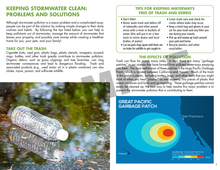# **KEEPING STORMWATER CLEAN: PROBLEMS AND SOLUTIONS**

Although stormwater pollution is a major problem and a complicated issue, people can be part of the solution by making simple changes to their daily routines and habits. By following the tips listed below, you can help to keep pollutants out of stormwater, manage the amount of stormwater that leaves your property, and possibly save money while creating a healthier home for you, your pets, and your family!

#### **TAKE OUT THE TRASH**

Cigarette butts, used gum, plastic bags, plastic utensils, wrappers, six-pack rings, bottles, and other trash greatly contribute to stormwater pollution. Organic debris, such as grass clippings and tree branches, can clog stormwater conveyances and lead to dangerous flooding. Trash and associated products (e.g., used motor oil in a plastic container) can also choke, injure, poison, and suffocate wildlife.



#### **TIPS FOR KEEPING WATERWAYS FREE OF TRASH AND DEBRIS**

#### • Don't litter!

- Never wash trash and debris off of sidewalks and other paved areas with a hose or buckets of water (this will put it on a fast track to storm drains and local bodies of water).
- Cut six-pack rings apart until there are no holes for wildlife to get caught in.
- Cover trash cans and check for cracks where leaks may occur.
- Keep a trash bag and gloves in your car for your trash and any litter you see during your travels.
- Pick up and sweep up trash around your yard and home.
- Recycle plastics and other recyclables.

#### **THE EFFECTS OF POLLUTION**

Trash can flow for many, many miles. In fact, there are many "garbage patches" in our oceans that have formed from polluted waterways emptying into them. The most well-known of these patches is the large Pacific Garbage Patch, which is located between California and Hawaii. Much of the trash in this patch is plastic, including bottles, bags, and other items that you might think of when you hear "plastic," as well as teeny, tiny pieces of plastic that ocean creatures and birds end up ingesting. These garbage patches cannot easily be cleaned up; the best way to help resolve this major problem is to prevent the stormwater pollution that is contributing to them.

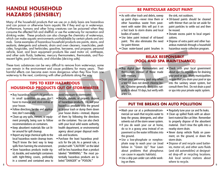# **HANDLE HOUSEHOLD HAZARDS (SENSIBLY)**

Many of the household products that we use on a daily basis are hazardous and can poison or otherwise harm aquatic life if they end up in waterways. Furthermore, humans and other living creatures can be poisoned when they consume the affected fish and shellfish or use the waterway for recreation and drinking water. These products can also change the chemistry of waterways, which can make aquatic environments uninhabitable by certain plants and animals. Some examples of hazardous household products are paints, stains, and sealants; detergents and solvents; drain and oven cleaners; insecticides, pesticides, fungicides, and herbicides; gasoline, kerosene, and propane; personal vehicle, boat, and lawn equipment products like used motor oil, antifreeze, and other auto fluids; batteries; mercury thermometers, thermostats, and fluorescent lights; pool chemicals; and chlorides (de-icing salts).

These toxic substances can be very difficult to remove from waterways; some can remain in the environment and cause problems for many years. Their harmful effects can become even more dangerous when they flow from one waterway to the next, combining with other pollutants along the way. Cool chemicals; and chords ike used motor cit, diminestes, the most at a property define the environment and cool chemicals; and chords (detecting sells).<br>
Samples are the environment and consumption of the most are the pr

#### **TIPS TO KEEP HAZARDOUS HOUSEHOLD PRODUCTS OUT OF STORMWATER**

- Buy hazardous household products in small quantities so you don't have to manage and store extras at your house.
- Follow directions for use and application; don't overapply.
- Clean up any spills, messes, or equipment promptly, being sure to follow recommendations on containers.
- Keep absorbent materials like cat litter around for spill cleanup.
- Report any large chemical spills to the local hazardous waste cleanup team. They'll know the best way to keep spills from harming the environment.
- Store hazardous products inside rigid, durable, and watertight containers with tight-fitting covers, preferably in a covered and contained area to

avoid exposure to stormwater.

- Recycle, donate, or properly dispose of hazardous products. Do not pour hazardous products onto the ground or in your trash or dump them down your house drains—instead, dispose of them by following the directions on the container. You can also check with your local solid waste authority, health department, or environmental agency about proper disposal methods and locations.
- Purchase the least hazardous products for the job. As a general rule, a product with "CAUTION" on the label will be less hazardous than a product labeled "WARNING." The most potentially hazardous products are labeled "DANGER" or "POISON."

#### **BE PARTICULAR ABOUT PAINT**

- As with other trash and debris, sweep up paint chips—never rinse them or other hazardous waste from pavement with water (this will put it on a fast track to storm drains and local bodies of water).
- Use latex paint instead of oil-based paint. This also eliminates the need for paint thinner.
- Clean water-based paint brushes in

the sink, not outdoors.

- Oil-based paints should be cleaned with thinner that can be set aside for paint particles to settle out and then be reused.
- Donate excess paint to local organizations.
- Dispose of extra paint and other hazardous materials through a household hazardous waste collection program.

#### **RELAX RESPONSIBLY (POOL AND SPA MAINTENANCE)**

- Buy digital pool thermometers and thermostats instead of those made with mercury.
- Drain your swimming pool only when a test kit does not detect chlorine levels. Chlorine generally dissipates naturally in about 10 days, but verify with a test kit.
- Check with your local government about specific regulations for draining your pool or spa. Many municipalities require that you drain your pool or spa into the sanitary sewer system, but consult them first. Do not drain a pool or spa into your private septic system.

#### **PUT THE BREAKS ON AUTO POLLUTION**

- Wash your car at a professional/commercial car wash that recycles water to keep the grease, detergents, and other solvents out of the storm sewer system.
- If you do wash your car at home, do so in a grassy area instead of on pavement so the water infiltrates into the ground.
- Use a low-phosphate or nonphosphate soap to wash your car (read below in "Green Up" Your Lawn about problems that phosphorus can cause in aquatic habitats).
- Use a drip pan under cars while working on them.
- Regularly tune your car and fix leaks.
- Clean up spilled fluids with an absorbent material like cat litter. Remember to properly dispose of the absorbent material. Don't rinse the spills into a nearby storm drain.
- Never dump vehicle fluids on pavement, on the ground, or down the storm drain.
- Dispose of and recycle used batteries, motor oil, and other auto fluids (and old automobiles) at designated drop-off or recycling locations. Ask local service stations about where to recycle.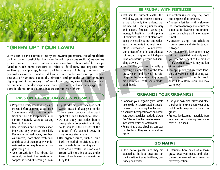

## **"GREEN UP" YOUR LAWN**

Lawns can be the source of many stormwater pollutants, including debris and hazardous pesticides (both mentioned in previous sections) as well as excess nutrients. Excess nutrients can come from phosphate-filled soaps (used to wash items outdoors or indoors), fertilizers, and organic matter like grass clippings, leaves, and fecal waste. Although nutrients are generally viewed as positive additions in our bodies and on land, excess amounts of nutrients, especially nitrogen and phosphorus, can stimulate algae growth in waterways. When algae die, they sink to the bottom and decompose. The decomposition process removes dissolved oxygen that aquatic plants, animals, and insects cannot live without. The source of many stormwater pollutants, including debrist since of means the special of the special since the special special since the special since the benefit of the subsections of independent of the source of monomic

#### **PASS ON THE POISON (WHEN POSSIBLE)**

- Properly identify weeds, diseases, or insects before applying a pesticide. Some insects and plants are beneficial and help to keep pests under control naturally without causing harm to humans.
- Use pesticides and herbicides sparingly and only when all else fails. Remember to read labels, use them as directed, store them with care, and dispose of them properly or donate extras to neighbors or a local gardening club.
- Use prescription flea drops (or natural, nontoxic flea treatments) for pets instead of treating a lawn.
- If pesticides are necessary, spot-treat weeds instead of applying to the whole area, because widespread application can kill beneficial insects.
- Do not apply pesticides before heavy rain is forecasted. Not only could you lose the benefit of the product if it's washed away, it may pollute stormwater.
- Use organic mulch, such as pine bark, instead of herbicides to prevent weeds from growing and to help absorb water. You can even create self-mulching areas under trees where leaves can remain as they fall.

#### **BE FRUGAL WITH FERTILIZER**

- Test soil for nutrient levels—this will allow you to choose a fertilizer that adds only the nutrients that are needed. Limiting unnecessary and excess fertilizer saves you money, is healthier for the plants (it minimizes the risk of plant roots being chemically burnt), and reduces extra nutrients that might wash off in stormwater. County extension offices often offer a residential soil-testing program and independent laboratories perform soil sampling as well.
- Help fertilize your lawn naturally by mowing only one-third of the total grass height and leaving the clippings on the lawn (mulching mowers and mowers with sharp blades work best).
- If fertilizer is necessary, use, store, and dispose of as directed.
- Choose a fertilizer with a slow-release form of nitrogen to reduce the potential for leaching into groundwater or ending up in stormwater runoff.
- Consider using iron (chelated iron or ferrous sulfate) instead of nitrogen.
- Do not apply fertilizer before heavy rain is forecasted. Not only could you lose the benefit of the product if it's washed away, it may pollute stormwater.
- Sweep up any fertilizer that lands on sidewalks instead of using water to wash it off (as this could send it to a storm drain and local waterway).

#### **ORGANIZE YOUR ORGANICS!**

- Compost your organic yard waste (along with kitchen scraps) instead of burning it or throwing it in the trash.
- If you don't compost leaves and other yard debris, bag it for roadside pickup. Don't leave it in the street or sweep it into storm drains or waterways.
- Remember, grass clippings can stay on the lawn. They are a natural fertilizer.
- Use your own pine straw and other clippings for mulch. Share your extra mulch with neighbors or local civic groups.
- Protect landscaping materials from wind and rain by storing them under tarps or in a shed.

#### **GO NATIVE**

- Plant native plants since they are adapted to the local area and can survive without extra fertilizers, pesticides, and water.
- Determine how much of a lawn/ grass area you need, and plant the rest in low-maintenance or nomow vegetation.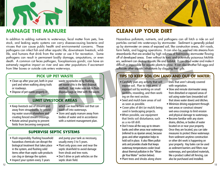



In addition to adding nutrients to waterways, fecal matter from pets, livestock, and leaking septic systems can carry disease-causing bacteria and viruses that can cause public health and environmental concerns. These pathogens can infect fish and other aquatic life, downstream livestock, wildlife, and humans that drink from the water or use it for recreation. Some pathogens can result in permanent bodily damage, amputations, or even death. A common cat feces pathogen, Toxoplasmosis gondii, can have an extremely negative impact on river and sea otter populations if excrement from litter boxes or outside cats enters waterways. In the case than the other case of the constructed in a constant and other consisted and printed the subset of the subset of the subset of the subset of the subset of the subset of the subset of the subset of the subset of

#### **PICK UP PET WASTE**

- Clean up after your pet, both in your yard and when walking along trails or roadways.
- waste receptacles or by flushing pet waste (this is the best disposal method). Just make sure not to flush disposal bags or litter with the waste.
- Dispose of pet waste properly in

#### **LIMIT LIVESTOCK AREAS**

- Keep livestock out of streams and away from streambanks by providing water sources elsewhere and creating fenced stream crossings.
- Rotate animal grazing to prevent fields from becoming overgrazed,
- which can lead to bare soil that can wash off into waterways.
- Store and apply manure away from bodies of water and in accordance with a nutrient management plan.

#### **SUPERVISE SEPTIC SYSTEMS**

- Flush responsibly. Flushing household hazardous chemicals can disrupt the biological treatment that takes place in the system, and flushing solid items other than septic-safe products can clog or damage the system.
- Inspect your system every 3 years

and pump your tank as necessary, usually every 3 to 5 years.

- Plant only grass over and near the septic drainfield to avoid damage from shrub and tree roots.
- Don't drive or park vehicles on the septic drain field.

# **CLEAN UP YOUR DIRT**

Hazardous pollutants, nutrients, and pathogens can all hitch a ride on soil particles carried into waterways by stormwater. Sediment is generally picked up by stormwater on areas of exposed soil, like construction areas, dirt roads, farm fields, and logging operations. It can also be washed into streams from streambanks that are eroded by high volumes of fast-moving stormwater flowing off of developed areas. Even without its toxic and potentially poisonous hitchhikers, sediment can destroy aquatic life and habitat. It can cloud water and make it difficult or impossible for aquatic plants to grow. It can also smother fish eggs and suffocate other aquatic inhabitants by clogging their gills.

#### **TIPS TO KEEP SOIL ON LAND AND OUT OF WATER:**

- Carefully plan any activity that will expose soil. Plan to limit areas of exposed soil by working on small sections, reseeding, and then working on the next section.
- Seed and mulch bare areas of soil as soon as possible.
- Cover piles of dirt (or mulch) being used in landscaping projects.
- When possible, use equipment that limits soil disturbance, such as a no-till drill.
- Don't mow all the way up to streambanks and other areas near waterways (referred to as riparian areas), because grass and other vegetation helps to hold soil in place. It also filters pollutants and provides shade that keeps waterway temperatures cooler (read about thermal pollution in the "Wrangle Your Water" section below).
- Plant trees and shrubs along shore-

lines that aren't already covered with vegetation.

- Slow and reroute stormwater away from disturbed or exposed areas of soil using water bars (mounded soil that slows water down) and ditches.
- Minimize driving equipment through wet areas or construct stream/ wet-area crossings to limit erosion and physical damage to waterways.
- Become familiar with any storm drains, ditches, or bodies of water located on or near your property. Once they are located, you can take measures to protect these waterways from sediment anytime construction or other dirt work is happening on your property. Hay bales can be used as sediment barriers and filters near waterways, and specialized materials, like a product called silt fencing, can also be purchased and installed.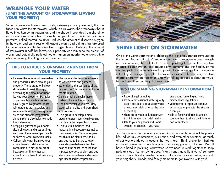#### **WRANGLE YOUR WATER (LIMIT THE AMOUNT OF STORMWATER LEAVING YOUR PROPERTY)**

When stormwater travels over roads, driveways, and pavement, the surfaces can warm the stormwater, which in turn warms the waterways that it flows into. Removing vegetation and the shade it provides from shoreline or riparian areas can also raise water temperatures. This increase in temperature, called thermal pollution, reduces the amount of dissolved oxygen in the water and can stress or kill aquatic plants and animals that are used to colder water and higher dissolved oxygen levels. Reducing the amount of stormwater runoff that leaves your property can minimize the amount of warm (and potentially polluted) water that enters nearby waterways while also decreasing flooding and erosion hazards.

#### **TIPS TO REDUCE STORMWATER RUNOFF FROM YOUR PROPERTY**

- Increase the amount of permeable and pervious surface area on your property. These areas will allow stormwater to soak through, decreasing the amount of runoff leaving your property. Examples of permeable installations are pavers, green (vegetated) roofs, rain gardens, grassy swales, and vegetated filter strips along paved areas and streams. (Vegetation along streams also helps to shade the waterways.)
- Keep your gutters on your home clean of leaves and grass cuttings and direct them toward permeable surfaces or water collection tanks.
- Collect rainwater from rooftops in rain barrels. Make sure the containers are mosquito-proof because standing water can attract mosquitoes that may carry disease.
- Use water collected in rain barrels to water lawns and gardens.
- Water during the cool times of the day, and don't let water run off into the storm drain.
- Consider using a soaker hose instead of a sprinkler system.
- Don't overwater your lawn. Only water when plants and grass show signs of stress.
- Help grass to develop a more drought-resistant root system by setting the blade higher on your lawn mower.
- Help to retain moisture (and increase time between watering) by maintaining a 2-3" layer of organic mulch around plant beds, shrubs, and tree roots. Be sure to leave a 2-inch space between the plant base and the mulch, as mulch that is placed too close to plant and tree stems can cause decay and encourage rodent and insect problems.



# **SHINE LIGHT ON STORMWATER**

One of the worst stormwater problems is the lack of awareness surrounding the issue. Many folks don't know about how stormwater moves through our communities, the pollutants it picks up along the way, the negative impacts it can have on local aquatic environments and our health, or the simple tips that can be followed to protect local water quality. Education is the key to changing people's behavior, so you can have a very positive impact on stormwater pollution simply by talking to people about stormwater and how they can help to keep it clean. Functif and the state of the develop and ensign of the develop and ensign dependent enter enter the search and the state of the state of the state of the state of the state of the state of the state of the state of the st

#### **TIPS FOR SHARING STORMWATER INFORMATION**

- Report illegal dumping.
- Invite a professional water-quality expert to speak about stormwater at your next civic or organizational meeting.
- Share stormwater pollution prevention information on social media.
- Talk to your neighbors and Homeowners Association, if you have

one, about "greening up" yard maintenance regulations.

- Volunteer for or sponsor community stormwater projects (like stream cleanups).
- Talk to family and friends, and encourage them to share the information with others.

Tackling stormwater pollution and cleaning up our waterways will help wildlife, individuals, communities, our nation, and even other countries, as much of our waste ends up in oceans that we share. Think prevention first! An ounce of prevention is worth a pound (or many gallons!) of cure. We all have a hand in polluting stormwater, so we need to work together to keep pollutants out. As the saying goes, "many hands make light work," so make sure to share this stormwater pollution information far and wide, and ask your neighbors, friends, and family members to get involved with you!